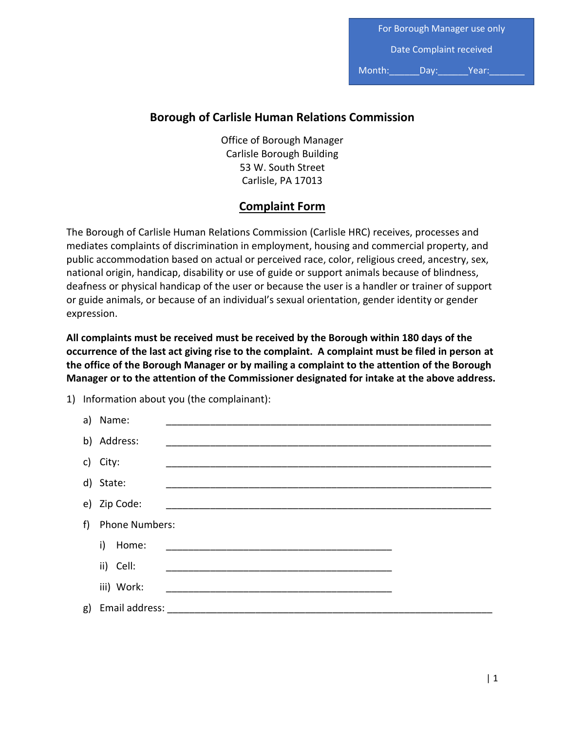For Borough Manager use only Date Complaint received

Month: Day: Year:

## **Borough of Carlisle Human Relations Commission**

Office of Borough Manager Carlisle Borough Building 53 W. South Street Carlisle, PA 17013

## **Complaint Form**

The Borough of Carlisle Human Relations Commission (Carlisle HRC) receives, processes and mediates complaints of discrimination in employment, housing and commercial property, and public accommodation based on actual or perceived race, color, religious creed, ancestry, sex, national origin, handicap, disability or use of guide or support animals because of blindness, deafness or physical handicap of the user or because the user is a handler or trainer of support or guide animals, or because of an individual's sexual orientation, gender identity or gender expression.

**All complaints must be received must be received by the Borough within 180 days of the occurrence of the last act giving rise to the complaint. A complaint must be filed in person at the office of the Borough Manager or by mailing a complaint to the attention of the Borough Manager or to the attention of the Commissioner designated for intake at the above address.**

1) Information about you (the complainant):

|   | a) Name:              |  |  |  |
|---|-----------------------|--|--|--|
|   | b) Address:           |  |  |  |
|   | c) City:              |  |  |  |
|   | d) State:             |  |  |  |
|   | e) Zip Code:          |  |  |  |
| f | <b>Phone Numbers:</b> |  |  |  |
|   | i)<br>Home:           |  |  |  |
|   | ii) Cell:             |  |  |  |
|   | iii) Work:            |  |  |  |
|   | g) Email address:     |  |  |  |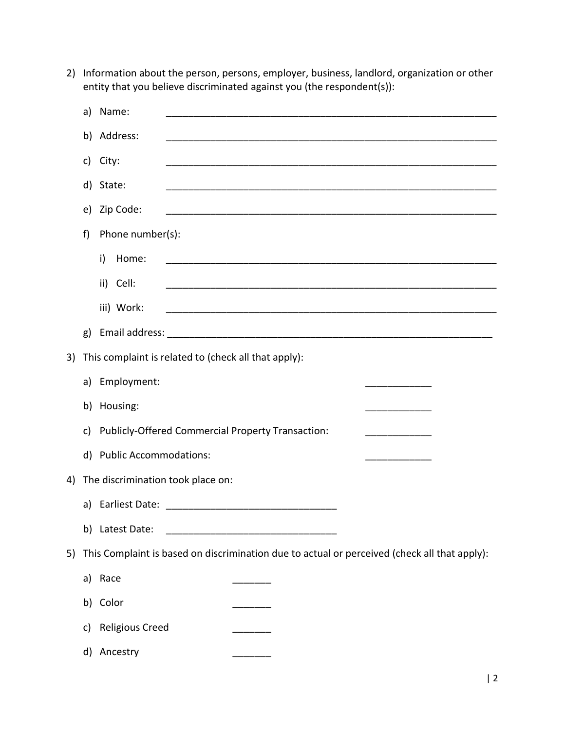|    | a)                                | Name:                                                                                        |                                                                                                                        |  |
|----|-----------------------------------|----------------------------------------------------------------------------------------------|------------------------------------------------------------------------------------------------------------------------|--|
|    | b)                                | Address:                                                                                     | <u> 1980 - Johann Stoff, die staat van die Stoffense van die Stoffense van die Stoffense van die Stoffense van die</u> |  |
|    | c)                                | City:                                                                                        |                                                                                                                        |  |
|    |                                   | d) State:                                                                                    |                                                                                                                        |  |
|    | e)                                | Zip Code:                                                                                    | <u> 1989 - Johann Barbara, margaret eta idazlea (h. 1989).</u>                                                         |  |
|    | f)                                | Phone number(s):                                                                             |                                                                                                                        |  |
|    |                                   | i)<br>Home:                                                                                  |                                                                                                                        |  |
|    |                                   | ii) Cell:                                                                                    |                                                                                                                        |  |
|    |                                   | iii) Work:                                                                                   |                                                                                                                        |  |
|    | g)                                |                                                                                              |                                                                                                                        |  |
| 3) |                                   |                                                                                              |                                                                                                                        |  |
|    |                                   |                                                                                              | This complaint is related to (check all that apply):                                                                   |  |
|    |                                   | a) Employment:                                                                               |                                                                                                                        |  |
|    |                                   | b) Housing:                                                                                  |                                                                                                                        |  |
|    | c)                                |                                                                                              | Publicly-Offered Commercial Property Transaction:<br>________________                                                  |  |
|    |                                   | d) Public Accommodations:                                                                    |                                                                                                                        |  |
| 4) | The discrimination took place on: |                                                                                              |                                                                                                                        |  |
|    |                                   |                                                                                              |                                                                                                                        |  |
|    | b)                                | Latest Date:                                                                                 |                                                                                                                        |  |
| 5) |                                   | This Complaint is based on discrimination due to actual or perceived (check all that apply): |                                                                                                                        |  |
|    |                                   | a) Race                                                                                      |                                                                                                                        |  |
|    | b)                                | Color                                                                                        |                                                                                                                        |  |
|    | c)                                | <b>Religious Creed</b>                                                                       |                                                                                                                        |  |
|    | d)                                | Ancestry                                                                                     |                                                                                                                        |  |
|    |                                   |                                                                                              |                                                                                                                        |  |

2) Information about the person, persons, employer, business, landlord, organization or other entity that you believe discriminated against you (the respondent(s)):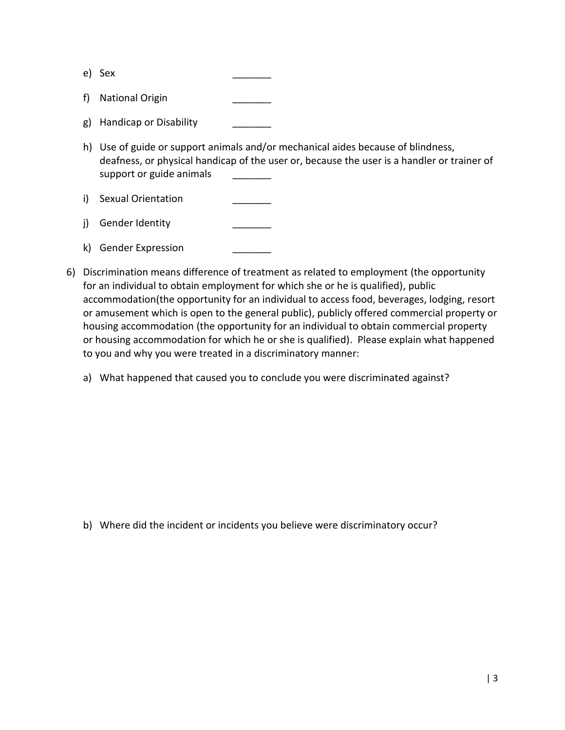e) Sex \_\_\_\_\_\_\_

- f) National Origin
- g) Handicap or Disability
- h) Use of guide or support animals and/or mechanical aides because of blindness, deafness, or physical handicap of the user or, because the user is a handler or trainer of support or guide animals
- i) Sexual Orientation
- j) Gender Identity
- k) Gender Expression
- 6) Discrimination means difference of treatment as related to employment (the opportunity for an individual to obtain employment for which she or he is qualified), public accommodation(the opportunity for an individual to access food, beverages, lodging, resort or amusement which is open to the general public), publicly offered commercial property or housing accommodation (the opportunity for an individual to obtain commercial property or housing accommodation for which he or she is qualified). Please explain what happened to you and why you were treated in a discriminatory manner:
	- a) What happened that caused you to conclude you were discriminated against?

b) Where did the incident or incidents you believe were discriminatory occur?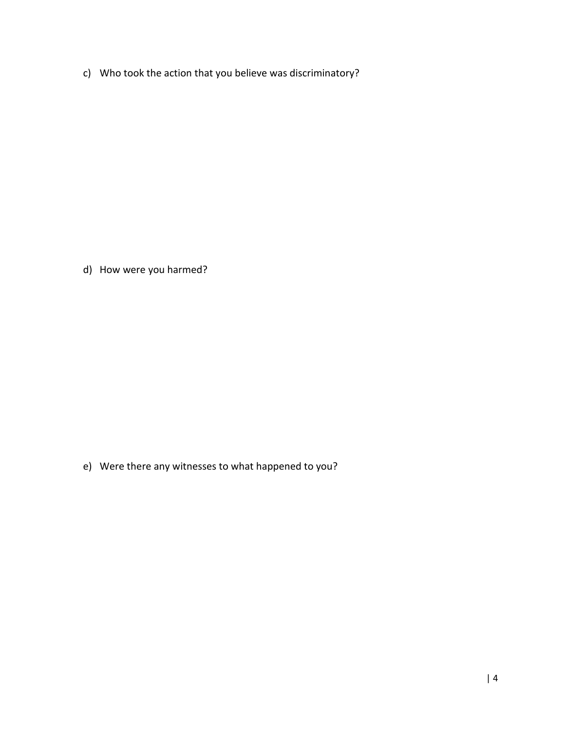c) Who took the action that you believe was discriminatory?

d) How were you harmed?

e) Were there any witnesses to what happened to you?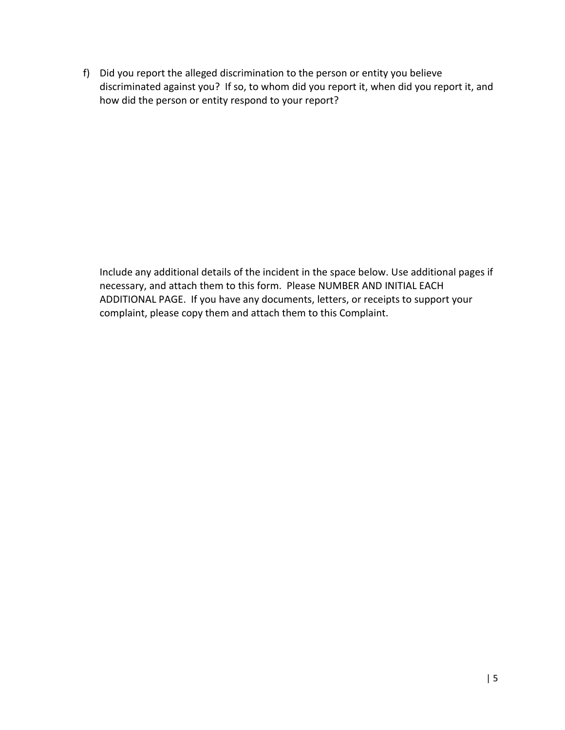f) Did you report the alleged discrimination to the person or entity you believe discriminated against you? If so, to whom did you report it, when did you report it, and how did the person or entity respond to your report?

Include any additional details of the incident in the space below. Use additional pages if necessary, and attach them to this form. Please NUMBER AND INITIAL EACH ADDITIONAL PAGE. If you have any documents, letters, or receipts to support your complaint, please copy them and attach them to this Complaint.